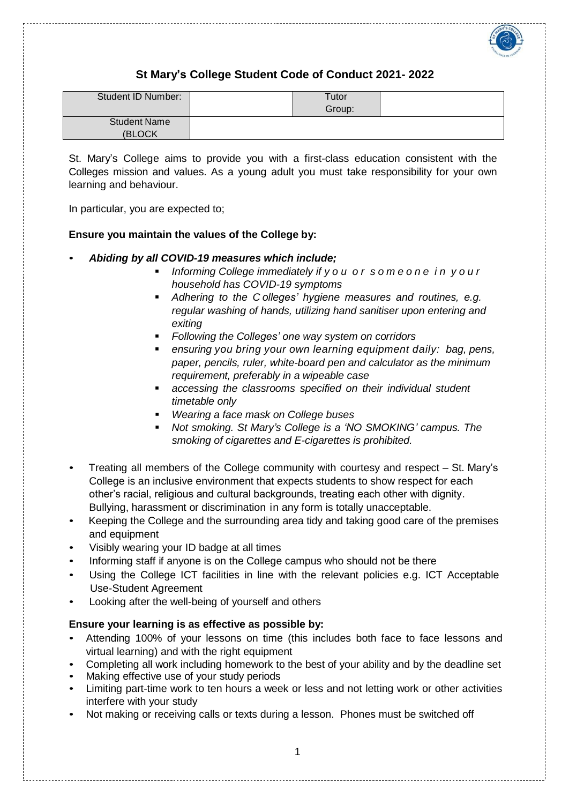

# **St Mary's College Student Code of Conduct 2021- 2022**

| Student ID Number:  | Tutor<br>Group: |  |
|---------------------|-----------------|--|
| <b>Student Name</b> |                 |  |
| (BLOCK              |                 |  |

St. Mary's College aims to provide you with a first-class education consistent with the Colleges mission and values. As a young adult you must take responsibility for your own learning and behaviour.

In particular, you are expected to;

# **Ensure you maintain the values of the College by:**

- *Abiding by all COVID-19 measures which include;*
	- *Informing College immediately if y o u o r s o m e o n e i n y o u r household has COVID-19 symptoms*
	- *Adhering to the C olleges' hygiene measures and routines, e.g. regular washing of hands, utilizing hand sanitiser upon entering and exiting*
	- *Following the Colleges' one way system on corridors*
	- *ensuring you bring your own learning equipment daily: bag, pens, paper, pencils, ruler, white-board pen and calculator as the minimum requirement, preferably in a wipeable case*
	- *accessing the classrooms specified on their individual student timetable only*
	- *Wearing a face mask on College buses*
	- *Not smoking. St Mary's College is a 'NO SMOKING' campus. The smoking of cigarettes and E-cigarettes is prohibited.*
- Treating all members of the College community with courtesy and respect St. Mary's College is an inclusive environment that expects students to show respect for each other's racial, religious and cultural backgrounds, treating each other with dignity. Bullying, harassment or discrimination in any form is totally unacceptable.
- Keeping the College and the surrounding area tidy and taking good care of the premises and equipment
- Visibly wearing your ID badge at all times
- Informing staff if anyone is on the College campus who should not be there
- Using the College ICT facilities in line with the relevant policies e.g. ICT Acceptable Use-Student Agreement
- Looking after the well-being of yourself and others

## **Ensure your learning is as effective as possible by:**

- Attending 100% of your lessons on time (this includes both face to face lessons and virtual learning) and with the right equipment
- Completing all work including homework to the best of your ability and by the deadline set
- Making effective use of your study periods
- Limiting part-time work to ten hours a week or less and not letting work or other activities interfere with your study
- Not making or receiving calls or texts during a lesson. Phones must be switched off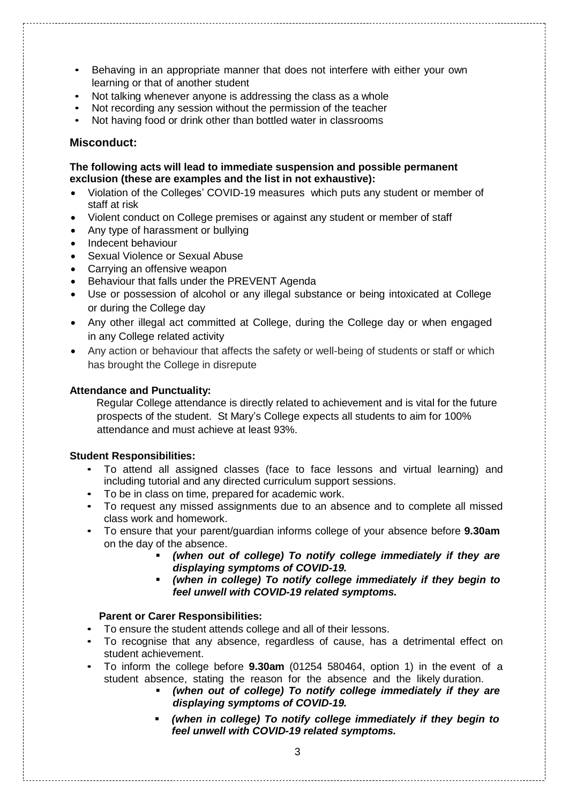- Behaving in an appropriate manner that does not interfere with either your own learning or that of another student
- Not talking whenever anyone is addressing the class as a whole
- Not recording any session without the permission of the teacher
- Not having food or drink other than bottled water in classrooms

## **Misconduct:**

## **The following acts will lead to immediate suspension and possible permanent exclusion (these are examples and the list in not exhaustive):**

- Violation of the Colleges' COVID-19 measures which puts any student or member of staff at risk
- Violent conduct on College premises or against any student or member of staff
- Any type of harassment or bullying
- Indecent behaviour
- Sexual Violence or Sexual Abuse
- Carrying an offensive weapon
- Behaviour that falls under the PREVENT Agenda
- Use or possession of alcohol or any illegal substance or being intoxicated at College or during the College day
- Any other illegal act committed at College, during the College day or when engaged in any College related activity
- Any action or behaviour that affects the safety or well-being of students or staff or which has brought the College in disrepute

#### **Attendance and Punctuality:**

Regular College attendance is directly related to achievement and is vital for the future prospects of the student. St Mary's College expects all students to aim for 100% attendance and must achieve at least 93%.

#### **Student Responsibilities:**

- To attend all assigned classes (face to face lessons and virtual learning) and including tutorial and any directed curriculum support sessions.
- To be in class on time, prepared for academic work.
- To request any missed assignments due to an absence and to complete all missed class work and homework.
- To ensure that your parent/guardian informs college of your absence before **9.30am** on the day of the absence.
	- *(when out of college) To notify college immediately if they are displaying symptoms of COVID-19.*
	- *(when in college) To notify college immediately if they begin to feel unwell with COVID-19 related symptoms.*

## **Parent or Carer Responsibilities:**

- To ensure the student attends college and all of their lessons.
- To recognise that any absence, regardless of cause, has a detrimental effect on student achievement.
- To inform the college before **9.30am** (01254 580464, option 1) in the event of a student absence, stating the reason for the absence and the likely duration.
	- *(when out of college) To notify college immediately if they are displaying symptoms of COVID-19.*
	- *(when in college) To notify college immediately if they begin to feel unwell with COVID-19 related symptoms.*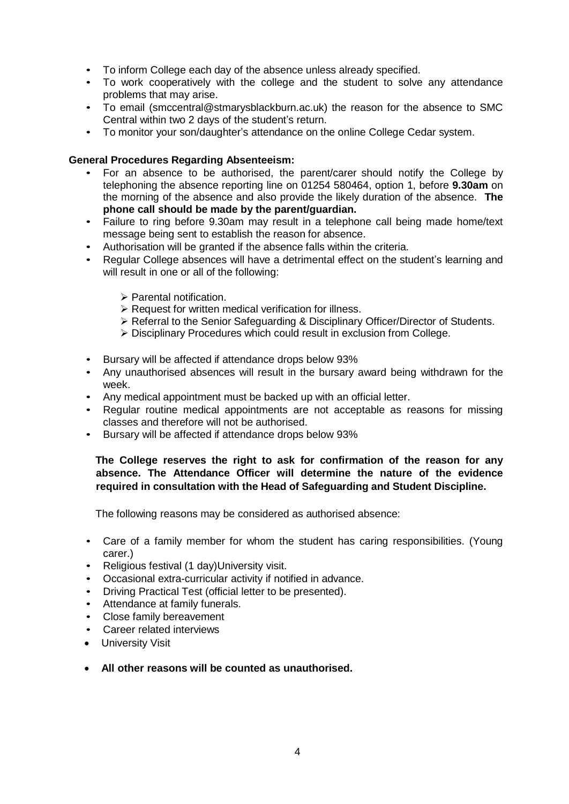- To inform College each day of the absence unless already specified.
- To work cooperatively with the college and the student to solve any attendance problems that may arise.
- To email (smccentral@stmarysblackburn.ac.uk) the reason for the absence to SMC Central within two 2 days of the student's return.
- To monitor your son/daughter's attendance on the online College Cedar system.

#### **General Procedures Regarding Absenteeism:**

- For an absence to be authorised, the parent/carer should notify the College by telephoning the absence reporting line on 01254 580464, option 1, before **9.30am** on the morning of the absence and also provide the likely duration of the absence. **The phone call should be made by the parent/guardian.**
- Failure to ring before 9.30am may result in a telephone call being made home/text message being sent to establish the reason for absence.
- Authorisation will be granted if the absence falls within the criteria.
- Regular College absences will have a detrimental effect on the student's learning and will result in one or all of the following:
	- $\triangleright$  Parental notification.
	- $\triangleright$  Request for written medical verification for illness.
	- $\triangleright$  Referral to the Senior Safeguarding & Disciplinary Officer/Director of Students.
	- Disciplinary Procedures which could result in exclusion from College.
- Bursary will be affected if attendance drops below 93%
- Any unauthorised absences will result in the bursary award being withdrawn for the week.
- Any medical appointment must be backed up with an official letter.
- Regular routine medical appointments are not acceptable as reasons for missing classes and therefore will not be authorised.
- Bursary will be affected if attendance drops below 93%

# **The College reserves the right to ask for confirmation of the reason for any absence. The Attendance Officer will determine the nature of the evidence required in consultation with the Head of Safeguarding and Student Discipline.**

The following reasons may be considered as authorised absence:

- Care of a family member for whom the student has caring responsibilities. (Young carer.)
- Religious festival (1 day)University visit.
- Occasional extra-curricular activity if notified in advance.
- Driving Practical Test (official letter to be presented).
- Attendance at family funerals.
- Close family bereavement
- Career related interviews
- **•** University Visit
- **All other reasons will be counted as unauthorised.**